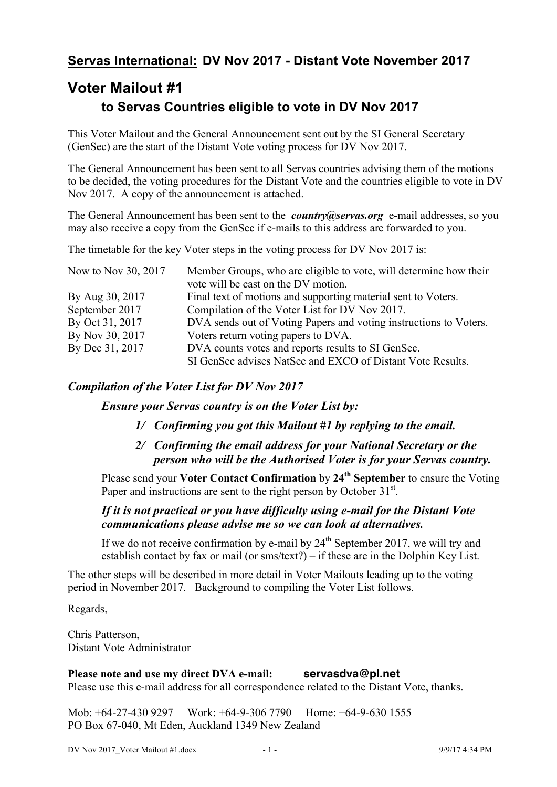## **Servas International: DV Nov 2017 - Distant Vote November 2017**

# **Voter Mailout #1 to Servas Countries eligible to vote in DV Nov 2017**

This Voter Mailout and the General Announcement sent out by the SI General Secretary (GenSec) are the start of the Distant Vote voting process for DV Nov 2017.

The General Announcement has been sent to all Servas countries advising them of the motions to be decided, the voting procedures for the Distant Vote and the countries eligible to vote in DV Nov 2017. A copy of the announcement is attached.

The General Announcement has been sent to the *country@servas.org* e-mail addresses, so you may also receive a copy from the GenSec if e-mails to this address are forwarded to you.

The timetable for the key Voter steps in the voting process for DV Nov 2017 is:

| Now to Nov 30, 2017 | Member Groups, who are eligible to vote, will determine how their<br>vote will be cast on the DV motion. |
|---------------------|----------------------------------------------------------------------------------------------------------|
| By Aug 30, 2017     | Final text of motions and supporting material sent to Voters.                                            |
| September 2017      | Compilation of the Voter List for DV Nov 2017.                                                           |
| By Oct 31, 2017     | DVA sends out of Voting Papers and voting instructions to Voters.                                        |
| By Nov 30, 2017     | Voters return voting papers to DVA.                                                                      |
| By Dec 31, 2017     | DVA counts votes and reports results to SI GenSec.                                                       |
|                     | SI GenSec advises NatSec and EXCO of Distant Vote Results.                                               |

### *Compilation of the Voter List for DV Nov 2017*

*Ensure your Servas country is on the Voter List by:*

- *1/ Confirming you got this Mailout #1 by replying to the email.*
- *2/ Confirming the email address for your National Secretary or the person who will be the Authorised Voter is for your Servas country.*

Please send your **Voter Contact Confirmation** by **24th September** to ensure the Voting Paper and instructions are sent to the right person by October 31<sup>st</sup>.

### *If it is not practical or you have difficulty using e-mail for the Distant Vote communications please advise me so we can look at alternatives.*

If we do not receive confirmation by e-mail by  $24<sup>th</sup>$  September 2017, we will try and establish contact by fax or mail (or sms/text?) – if these are in the Dolphin Key List.

The other steps will be described in more detail in Voter Mailouts leading up to the voting period in November 2017. Background to compiling the Voter List follows.

Regards,

Chris Patterson, Distant Vote Administrator

**Please note and use my direct DVA e-mail: servasdva@pl.net** Please use this e-mail address for all correspondence related to the Distant Vote, thanks.

Mob: +64-27-430 9297 Work: +64-9-306 7790 Home: +64-9-630 1555 PO Box 67-040, Mt Eden, Auckland 1349 New Zealand